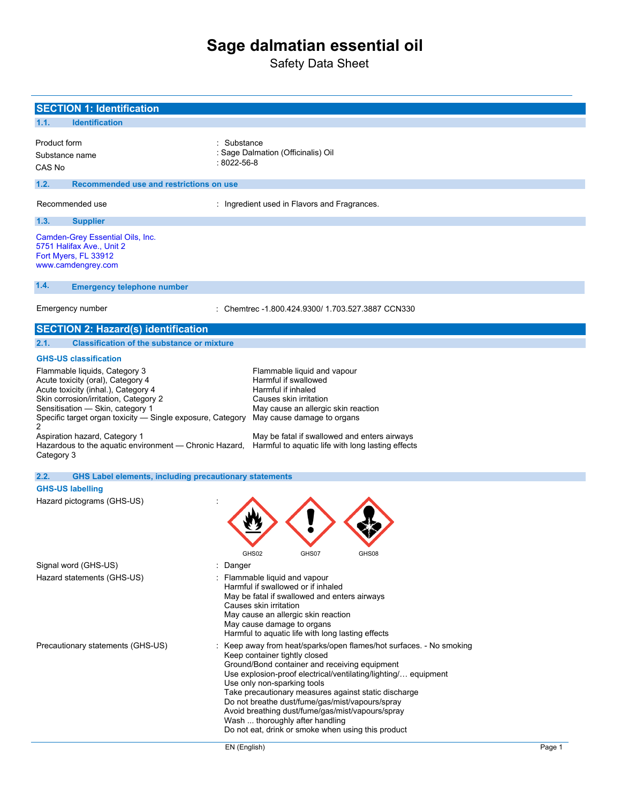# **Sage dalmatian essential oil**

Safety Data Sheet

| <b>SECTION 1: Identification</b>                                                                                                                                                                                                                                                                                                                                                                                                            |                                                                                                                                                                                                                                                                                                                                                                                                                                                                                                                              |        |
|---------------------------------------------------------------------------------------------------------------------------------------------------------------------------------------------------------------------------------------------------------------------------------------------------------------------------------------------------------------------------------------------------------------------------------------------|------------------------------------------------------------------------------------------------------------------------------------------------------------------------------------------------------------------------------------------------------------------------------------------------------------------------------------------------------------------------------------------------------------------------------------------------------------------------------------------------------------------------------|--------|
| <b>Identification</b><br>1.1.                                                                                                                                                                                                                                                                                                                                                                                                               |                                                                                                                                                                                                                                                                                                                                                                                                                                                                                                                              |        |
| Product form<br>Substance name<br>CAS No                                                                                                                                                                                                                                                                                                                                                                                                    | : Substance<br>: Sage Dalmation (Officinalis) Oil<br>$:8022 - 56 - 8$                                                                                                                                                                                                                                                                                                                                                                                                                                                        |        |
| 1.2.<br>Recommended use and restrictions on use                                                                                                                                                                                                                                                                                                                                                                                             |                                                                                                                                                                                                                                                                                                                                                                                                                                                                                                                              |        |
| Recommended use                                                                                                                                                                                                                                                                                                                                                                                                                             | : Ingredient used in Flavors and Fragrances.                                                                                                                                                                                                                                                                                                                                                                                                                                                                                 |        |
| 1.3.<br><b>Supplier</b>                                                                                                                                                                                                                                                                                                                                                                                                                     |                                                                                                                                                                                                                                                                                                                                                                                                                                                                                                                              |        |
| Camden-Grey Essential Oils, Inc.<br>5751 Halifax Ave., Unit 2<br>Fort Myers, FL 33912<br>www.camdengrey.com                                                                                                                                                                                                                                                                                                                                 |                                                                                                                                                                                                                                                                                                                                                                                                                                                                                                                              |        |
| 1.4.<br><b>Emergency telephone number</b>                                                                                                                                                                                                                                                                                                                                                                                                   |                                                                                                                                                                                                                                                                                                                                                                                                                                                                                                                              |        |
| Emergency number                                                                                                                                                                                                                                                                                                                                                                                                                            | : Chemtrec -1.800.424.9300/ 1.703.527.3887 CCN330                                                                                                                                                                                                                                                                                                                                                                                                                                                                            |        |
| <b>SECTION 2: Hazard(s) identification</b>                                                                                                                                                                                                                                                                                                                                                                                                  |                                                                                                                                                                                                                                                                                                                                                                                                                                                                                                                              |        |
| <b>Classification of the substance or mixture</b><br>2.1.                                                                                                                                                                                                                                                                                                                                                                                   |                                                                                                                                                                                                                                                                                                                                                                                                                                                                                                                              |        |
| <b>GHS-US classification</b>                                                                                                                                                                                                                                                                                                                                                                                                                |                                                                                                                                                                                                                                                                                                                                                                                                                                                                                                                              |        |
| Flammable liquids, Category 3<br>Acute toxicity (oral), Category 4<br>Acute toxicity (inhal.), Category 4<br>Skin corrosion/irritation, Category 2<br>Sensitisation - Skin, category 1<br>Specific target organ toxicity - Single exposure, Category<br>2<br>Aspiration hazard, Category 1<br>Hazardous to the aquatic environment - Chronic Hazard,<br>Category 3<br>2.2.<br><b>GHS Label elements, including precautionary statements</b> | Flammable liquid and vapour<br>Harmful if swallowed<br>Harmful if inhaled<br>Causes skin irritation<br>May cause an allergic skin reaction<br>May cause damage to organs<br>May be fatal if swallowed and enters airways<br>Harmful to aquatic life with long lasting effects                                                                                                                                                                                                                                                |        |
| <b>GHS-US labelling</b>                                                                                                                                                                                                                                                                                                                                                                                                                     |                                                                                                                                                                                                                                                                                                                                                                                                                                                                                                                              |        |
| Hazard pictograms (GHS-US)                                                                                                                                                                                                                                                                                                                                                                                                                  | GHS02<br>GHS07<br>GHS08                                                                                                                                                                                                                                                                                                                                                                                                                                                                                                      |        |
| Signal word (GHS-US)                                                                                                                                                                                                                                                                                                                                                                                                                        | : Danger                                                                                                                                                                                                                                                                                                                                                                                                                                                                                                                     |        |
| Hazard statements (GHS-US)                                                                                                                                                                                                                                                                                                                                                                                                                  | : Flammable liquid and vapour<br>Harmful if swallowed or if inhaled<br>May be fatal if swallowed and enters airways<br>Causes skin irritation<br>May cause an allergic skin reaction<br>May cause damage to organs<br>Harmful to aquatic life with long lasting effects                                                                                                                                                                                                                                                      |        |
| Precautionary statements (GHS-US)                                                                                                                                                                                                                                                                                                                                                                                                           | Keep away from heat/sparks/open flames/hot surfaces. - No smoking<br>Keep container tightly closed<br>Ground/Bond container and receiving equipment<br>Use explosion-proof electrical/ventilating/lighting/ equipment<br>Use only non-sparking tools<br>Take precautionary measures against static discharge<br>Do not breathe dust/fume/gas/mist/vapours/spray<br>Avoid breathing dust/fume/gas/mist/vapours/spray<br>Wash  thoroughly after handling<br>Do not eat, drink or smoke when using this product<br>EN (English) | Page 1 |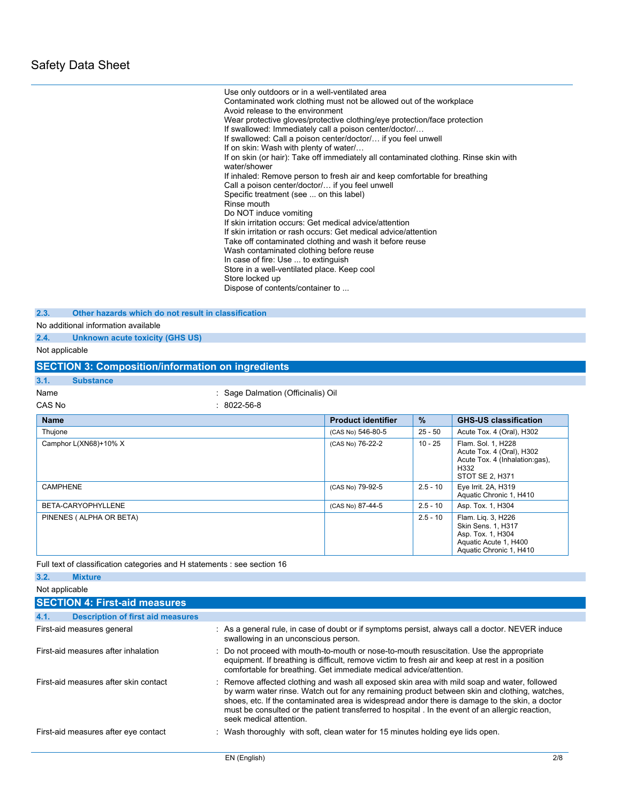Use only outdoors or in a well-ventilated area Contaminated work clothing must not be allowed out of the workplace Avoid release to the environment Wear protective gloves/protective clothing/eye protection/face protection If swallowed: Immediately call a poison center/doctor/… If swallowed: Call a poison center/doctor/… if you feel unwell If on skin: Wash with plenty of water/… If on skin (or hair): Take off immediately all contaminated clothing. Rinse skin with water/shower If inhaled: Remove person to fresh air and keep comfortable for breathing Call a poison center/doctor/… if you feel unwell Specific treatment (see ... on this label) Rinse mouth Do NOT induce vomiting If skin irritation occurs: Get medical advice/attention If skin irritation or rash occurs: Get medical advice/attention Take off contaminated clothing and wash it before reuse Wash contaminated clothing before reuse In case of fire: Use ... to extinguish Store in a well-ventilated place. Keep cool Store locked up Dispose of contents/container to ...

**2.3. Other hazards which do not result in classification**

No additional information available

**2.4. Unknown acute toxicity (GHS US)**

Not applicable

|                          | <b>SECTION 3: Composition/information on ingredients</b> |                           |            |                                                                                                                   |
|--------------------------|----------------------------------------------------------|---------------------------|------------|-------------------------------------------------------------------------------------------------------------------|
| 3.1.<br><b>Substance</b> |                                                          |                           |            |                                                                                                                   |
| Name                     | : Sage Dalmation (Officinalis) Oil                       |                           |            |                                                                                                                   |
| CAS No                   | $: 8022 - 56 - 8$                                        |                           |            |                                                                                                                   |
| <b>Name</b>              |                                                          | <b>Product identifier</b> | %          | <b>GHS-US classification</b>                                                                                      |
| Thujone                  |                                                          | (CAS No) 546-80-5         | $25 - 50$  | Acute Tox. 4 (Oral), H302                                                                                         |
| Camphor L(XN68)+10% X    |                                                          | (CAS No) 76-22-2          | $10 - 25$  | Flam. Sol. 1, H228<br>Acute Tox. 4 (Oral), H302<br>Acute Tox. 4 (Inhalation:gas).<br>H332<br>STOT SE 2, H371      |
| <b>CAMPHENE</b>          |                                                          | (CAS No) 79-92-5          | $2.5 - 10$ | Eye Irrit. 2A, H319<br>Aquatic Chronic 1, H410                                                                    |
| BETA-CARYOPHYLLENE       |                                                          | (CAS No) 87-44-5          | $2.5 - 10$ | Asp. Tox. 1, H304                                                                                                 |
| PINENES (ALPHA OR BETA)  |                                                          |                           | $2.5 - 10$ | Flam. Lig. 3, H226<br>Skin Sens. 1, H317<br>Asp. Tox. 1, H304<br>Aquatic Acute 1, H400<br>Aquatic Chronic 1, H410 |

Full text of classification categories and H statements : see section 16

| 3.2.           | <b>Mixture</b>                           |                                                                                                                                                                                                                                                                                                                                                                                                                              |
|----------------|------------------------------------------|------------------------------------------------------------------------------------------------------------------------------------------------------------------------------------------------------------------------------------------------------------------------------------------------------------------------------------------------------------------------------------------------------------------------------|
| Not applicable |                                          |                                                                                                                                                                                                                                                                                                                                                                                                                              |
|                | <b>SECTION 4: First-aid measures</b>     |                                                                                                                                                                                                                                                                                                                                                                                                                              |
| 4.1.           | <b>Description of first aid measures</b> |                                                                                                                                                                                                                                                                                                                                                                                                                              |
|                | First-aid measures general               | : As a general rule, in case of doubt or if symptoms persist, always call a doctor. NEVER induce<br>swallowing in an unconscious person.                                                                                                                                                                                                                                                                                     |
|                | First-aid measures after inhalation      | : Do not proceed with mouth-to-mouth or nose-to-mouth resuscitation. Use the appropriate<br>equipment. If breathing is difficult, remove victim to fresh air and keep at rest in a position<br>comfortable for breathing. Get immediate medical advice/attention.                                                                                                                                                            |
|                | First-aid measures after skin contact    | : Remove affected clothing and wash all exposed skin area with mild soap and water, followed<br>by warm water rinse. Watch out for any remaining product between skin and clothing, watches,<br>shoes, etc. If the contaminated area is widespread andor there is damage to the skin, a doctor<br>must be consulted or the patient transferred to hospital. In the event of an allergic reaction,<br>seek medical attention. |
|                | First-aid measures after eye contact     | : Wash thoroughly with soft, clean water for 15 minutes holding eye lids open.                                                                                                                                                                                                                                                                                                                                               |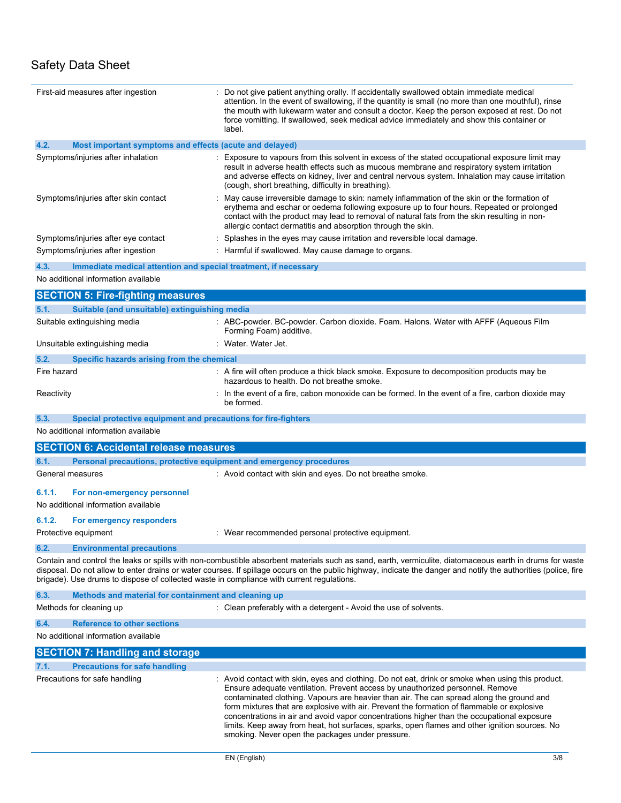| First-aid measures after ingestion                                                                            | : Do not give patient anything orally. If accidentally swallowed obtain immediate medical<br>attention. In the event of swallowing, if the quantity is small (no more than one mouthful), rinse<br>the mouth with lukewarm water and consult a doctor. Keep the person exposed at rest. Do not<br>force vomitting. If swallowed, seek medical advice immediately and show this container or<br>label.                                                                                                                                                                                                                           |
|---------------------------------------------------------------------------------------------------------------|---------------------------------------------------------------------------------------------------------------------------------------------------------------------------------------------------------------------------------------------------------------------------------------------------------------------------------------------------------------------------------------------------------------------------------------------------------------------------------------------------------------------------------------------------------------------------------------------------------------------------------|
| 4.2.<br>Most important symptoms and effects (acute and delayed)                                               |                                                                                                                                                                                                                                                                                                                                                                                                                                                                                                                                                                                                                                 |
| Symptoms/injuries after inhalation                                                                            | Exposure to vapours from this solvent in excess of the stated occupational exposure limit may<br>result in adverse health effects such as mucous membrane and respiratory system irritation<br>and adverse effects on kidney, liver and central nervous system. Inhalation may cause irritation<br>(cough, short breathing, difficulty in breathing).                                                                                                                                                                                                                                                                           |
| Symptoms/injuries after skin contact                                                                          | : May cause irreversible damage to skin: namely inflammation of the skin or the formation of<br>erythema and eschar or oedema following exposure up to four hours. Repeated or prolonged<br>contact with the product may lead to removal of natural fats from the skin resulting in non-<br>allergic contact dermatitis and absorption through the skin.                                                                                                                                                                                                                                                                        |
| Symptoms/injuries after eye contact                                                                           | : Splashes in the eyes may cause irritation and reversible local damage.                                                                                                                                                                                                                                                                                                                                                                                                                                                                                                                                                        |
| Symptoms/injuries after ingestion                                                                             | : Harmful if swallowed. May cause damage to organs.                                                                                                                                                                                                                                                                                                                                                                                                                                                                                                                                                                             |
| 4.3.<br>Immediate medical attention and special treatment, if necessary                                       |                                                                                                                                                                                                                                                                                                                                                                                                                                                                                                                                                                                                                                 |
| No additional information available                                                                           |                                                                                                                                                                                                                                                                                                                                                                                                                                                                                                                                                                                                                                 |
| <b>SECTION 5: Fire-fighting measures</b>                                                                      |                                                                                                                                                                                                                                                                                                                                                                                                                                                                                                                                                                                                                                 |
| Suitable (and unsuitable) extinguishing media<br>5.1.                                                         |                                                                                                                                                                                                                                                                                                                                                                                                                                                                                                                                                                                                                                 |
| Suitable extinguishing media                                                                                  | : ABC-powder. BC-powder. Carbon dioxide. Foam. Halons. Water with AFFF (Aqueous Film<br>Forming Foam) additive.                                                                                                                                                                                                                                                                                                                                                                                                                                                                                                                 |
| Unsuitable extinguishing media                                                                                | : Water Water Jet                                                                                                                                                                                                                                                                                                                                                                                                                                                                                                                                                                                                               |
| 5.2.<br>Specific hazards arising from the chemical                                                            |                                                                                                                                                                                                                                                                                                                                                                                                                                                                                                                                                                                                                                 |
| Fire hazard                                                                                                   | : A fire will often produce a thick black smoke. Exposure to decomposition products may be<br>hazardous to health. Do not breathe smoke.                                                                                                                                                                                                                                                                                                                                                                                                                                                                                        |
| Reactivity                                                                                                    | : In the event of a fire, cabon monoxide can be formed. In the event of a fire, carbon dioxide may<br>be formed.                                                                                                                                                                                                                                                                                                                                                                                                                                                                                                                |
| 5.3.<br>Special protective equipment and precautions for fire-fighters<br>No additional information available |                                                                                                                                                                                                                                                                                                                                                                                                                                                                                                                                                                                                                                 |
| <b>SECTION 6: Accidental release measures</b>                                                                 |                                                                                                                                                                                                                                                                                                                                                                                                                                                                                                                                                                                                                                 |
| 6.1.<br>Personal precautions, protective equipment and emergency procedures                                   |                                                                                                                                                                                                                                                                                                                                                                                                                                                                                                                                                                                                                                 |
| General measures                                                                                              | : Avoid contact with skin and eyes. Do not breathe smoke.                                                                                                                                                                                                                                                                                                                                                                                                                                                                                                                                                                       |
| 6.1.1.<br>For non-emergency personnel<br>No additional information available                                  |                                                                                                                                                                                                                                                                                                                                                                                                                                                                                                                                                                                                                                 |
| 6.1.2.<br>For emergency responders                                                                            |                                                                                                                                                                                                                                                                                                                                                                                                                                                                                                                                                                                                                                 |
| Protective equipment                                                                                          | : Wear recommended personal protective equipment.                                                                                                                                                                                                                                                                                                                                                                                                                                                                                                                                                                               |
| 6.2.<br><b>Environmental precautions</b>                                                                      |                                                                                                                                                                                                                                                                                                                                                                                                                                                                                                                                                                                                                                 |
| brigade). Use drums to dispose of collected waste in compliance with current regulations.                     | Contain and control the leaks or spills with non-combustible absorbent materials such as sand, earth, vermiculite, diatomaceous earth in drums for waste<br>disposal. Do not allow to enter drains or water courses. If spillage occurs on the public highway, indicate the danger and notify the authorities (police, fire                                                                                                                                                                                                                                                                                                     |
| Methods and material for containment and cleaning up<br>6.3.                                                  |                                                                                                                                                                                                                                                                                                                                                                                                                                                                                                                                                                                                                                 |
| Methods for cleaning up                                                                                       | : Clean preferably with a detergent - Avoid the use of solvents.                                                                                                                                                                                                                                                                                                                                                                                                                                                                                                                                                                |
| 6.4.<br><b>Reference to other sections</b>                                                                    |                                                                                                                                                                                                                                                                                                                                                                                                                                                                                                                                                                                                                                 |
| No additional information available                                                                           |                                                                                                                                                                                                                                                                                                                                                                                                                                                                                                                                                                                                                                 |
| <b>SECTION 7: Handling and storage</b>                                                                        |                                                                                                                                                                                                                                                                                                                                                                                                                                                                                                                                                                                                                                 |
| 7.1.<br><b>Precautions for safe handling</b>                                                                  |                                                                                                                                                                                                                                                                                                                                                                                                                                                                                                                                                                                                                                 |
| Precautions for safe handling                                                                                 | : Avoid contact with skin, eyes and clothing. Do not eat, drink or smoke when using this product.<br>Ensure adequate ventilation. Prevent access by unauthorized personnel. Remove<br>contaminated clothing. Vapours are heavier than air. The can spread along the ground and<br>form mixtures that are explosive with air. Prevent the formation of flammable or explosive<br>concentrations in air and avoid vapor concentrations higher than the occupational exposure<br>limits. Keep away from heat, hot surfaces, sparks, open flames and other ignition sources. No<br>smoking. Never open the packages under pressure. |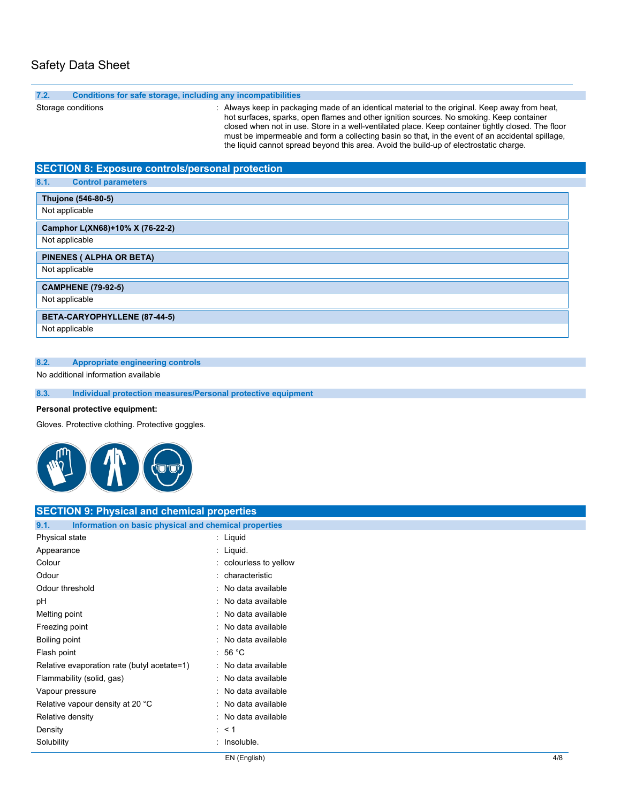| 7.2.<br>Conditions for safe storage, including any incompatibilities |                                                                                                                                                                                                                                                                                                                                                                                                                                                                                                |
|----------------------------------------------------------------------|------------------------------------------------------------------------------------------------------------------------------------------------------------------------------------------------------------------------------------------------------------------------------------------------------------------------------------------------------------------------------------------------------------------------------------------------------------------------------------------------|
| Storage conditions                                                   | : Always keep in packaging made of an identical material to the original. Keep away from heat,<br>hot surfaces, sparks, open flames and other ignition sources. No smoking. Keep container<br>closed when not in use. Store in a well-ventilated place. Keep container tightly closed. The floor<br>must be impermeable and form a collecting basin so that, in the event of an accidental spillage,<br>the liquid cannot spread beyond this area. Avoid the build-up of electrostatic charge. |
| <b>SECTION 8: Exposure controls/personal protection</b>              |                                                                                                                                                                                                                                                                                                                                                                                                                                                                                                |
| 8.1.<br><b>Control parameters</b>                                    |                                                                                                                                                                                                                                                                                                                                                                                                                                                                                                |
| Thujone (546-80-5)                                                   |                                                                                                                                                                                                                                                                                                                                                                                                                                                                                                |
| Not applicable                                                       |                                                                                                                                                                                                                                                                                                                                                                                                                                                                                                |
| Camphor L(XN68)+10% X (76-22-2)                                      |                                                                                                                                                                                                                                                                                                                                                                                                                                                                                                |
| Not applicable                                                       |                                                                                                                                                                                                                                                                                                                                                                                                                                                                                                |
| PINENES ( ALPHA OR BETA)                                             |                                                                                                                                                                                                                                                                                                                                                                                                                                                                                                |
| Not applicable                                                       |                                                                                                                                                                                                                                                                                                                                                                                                                                                                                                |
| <b>CAMPHENE (79-92-5)</b>                                            |                                                                                                                                                                                                                                                                                                                                                                                                                                                                                                |
| Not applicable                                                       |                                                                                                                                                                                                                                                                                                                                                                                                                                                                                                |
| BETA-CARYOPHYLLENE (87-44-5)                                         |                                                                                                                                                                                                                                                                                                                                                                                                                                                                                                |
| Not applicable                                                       |                                                                                                                                                                                                                                                                                                                                                                                                                                                                                                |
|                                                                      |                                                                                                                                                                                                                                                                                                                                                                                                                                                                                                |
| <b>Appropriate engineering controls</b><br>8.2.                      |                                                                                                                                                                                                                                                                                                                                                                                                                                                                                                |

No additional information available

**8.3. Individual protection measures/Personal protective equipment**

### **Personal protective equipment:**

Gloves. Protective clothing. Protective goggles.



| <b>SECTION 9: Physical and chemical properties</b>            |                        |
|---------------------------------------------------------------|------------------------|
| Information on basic physical and chemical properties<br>9.1. |                        |
| Physical state                                                | : Liquid               |
| Appearance                                                    | : Liquid.              |
| Colour                                                        | : colourless to yellow |
| Odour                                                         | : characteristic       |
| Odour threshold                                               | : No data available    |
| pH                                                            | : No data available    |
| Melting point                                                 | : No data available    |
| Freezing point                                                | : No data available    |
| Boiling point                                                 | : No data available    |
| Flash point                                                   | : 56 °C                |
| Relative evaporation rate (butyl acetate=1)                   | : No data available    |
| Flammability (solid, gas)                                     | : No data available    |
| Vapour pressure                                               | : No data available    |
| Relative vapour density at 20 °C                              | : No data available    |
| Relative density                                              | : No data available    |
| Density                                                       | $\therefore$ < 1       |
| Solubility                                                    | : Insoluble.           |
|                                                               |                        |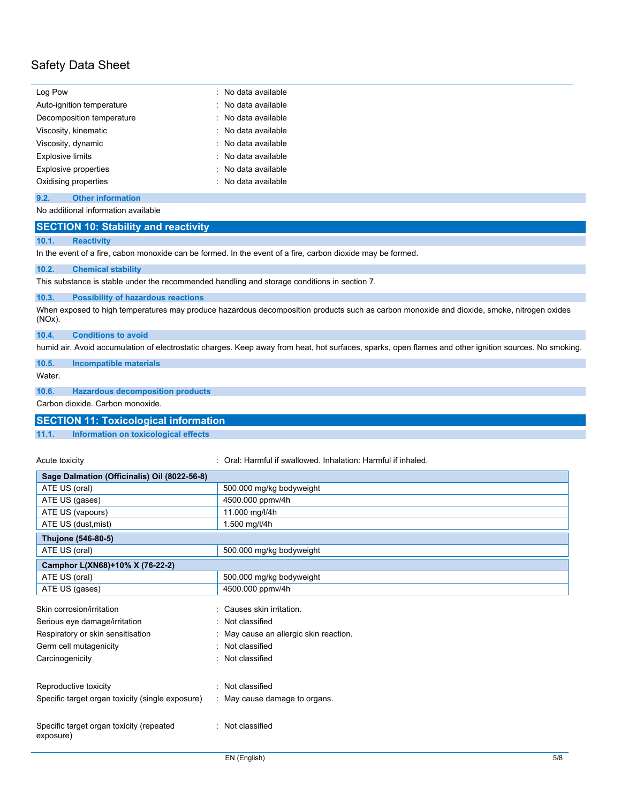| Log Pow                   | : No data available |
|---------------------------|---------------------|
| Auto-ignition temperature | : No data available |
| Decomposition temperature | : No data available |
| Viscosity, kinematic      | : No data available |
| Viscosity, dynamic        | : No data available |
| <b>Explosive limits</b>   | : No data available |
| Explosive properties      | : No data available |
| Oxidising properties      | : No data available |

#### **9.2. Other information**

#### No additional information available

| <b>SECTION 10: Stability and reactivity</b> |  |
|---------------------------------------------|--|
|                                             |  |

#### **10.1. Reactivity**

In the event of a fire, cabon monoxide can be formed. In the event of a fire, carbon dioxide may be formed.

#### **10.2. Chemical stability**

This substance is stable under the recommended handling and storage conditions in section 7.

#### **10.3. Possibility of hazardous reactions**

When exposed to high temperatures may produce hazardous decomposition products such as carbon monoxide and dioxide, smoke, nitrogen oxides (NOx).

#### **10.4. Conditions to avoid**

humid air. Avoid accumulation of electrostatic charges. Keep away from heat, hot surfaces, sparks, open flames and other ignition sources. No smoking.

#### **10.5. Incompatible materials**

Water.

#### **10.6. Hazardous decomposition products**

Carbon dioxide. Carbon monoxide.

#### **SECTION 11: Toxicological information**

**11.1. Information on toxicological effects**

Acute toxicity **in the same of the Caucasian Coral: Harmful if swallowed. Inhalation: Harmful if inhaled.** 

| Sage Dalmation (Officinalis) Oil (8022-56-8)                                                                                                 |                                                                                                                                 |
|----------------------------------------------------------------------------------------------------------------------------------------------|---------------------------------------------------------------------------------------------------------------------------------|
| ATE US (oral)                                                                                                                                | 500.000 mg/kg bodyweight                                                                                                        |
| ATE US (gases)                                                                                                                               | 4500.000 ppmv/4h                                                                                                                |
| ATE US (vapours)                                                                                                                             | 11.000 mg/l/4h                                                                                                                  |
| ATE US (dust, mist)                                                                                                                          | 1.500 mg/l/4h                                                                                                                   |
| Thujone (546-80-5)                                                                                                                           |                                                                                                                                 |
| ATE US (oral)                                                                                                                                | 500.000 mg/kg bodyweight                                                                                                        |
| Camphor L(XN68)+10% X (76-22-2)                                                                                                              |                                                                                                                                 |
| ATE US (oral)                                                                                                                                | 500.000 mg/kg bodyweight                                                                                                        |
| ATE US (gases)                                                                                                                               | 4500.000 ppmv/4h                                                                                                                |
| Skin corrosion/irritation<br>Serious eye damage/irritation<br>Respiratory or skin sensitisation<br>Germ cell mutagenicity<br>Carcinogenicity | : Causes skin irritation.<br>: Not classified<br>: May cause an allergic skin reaction.<br>: Not classified<br>: Not classified |
| Reproductive toxicity                                                                                                                        | : Not classified                                                                                                                |
| Specific target organ toxicity (single exposure)                                                                                             | : May cause damage to organs.                                                                                                   |
| Specific target organ toxicity (repeated<br>exposure)                                                                                        | : Not classified                                                                                                                |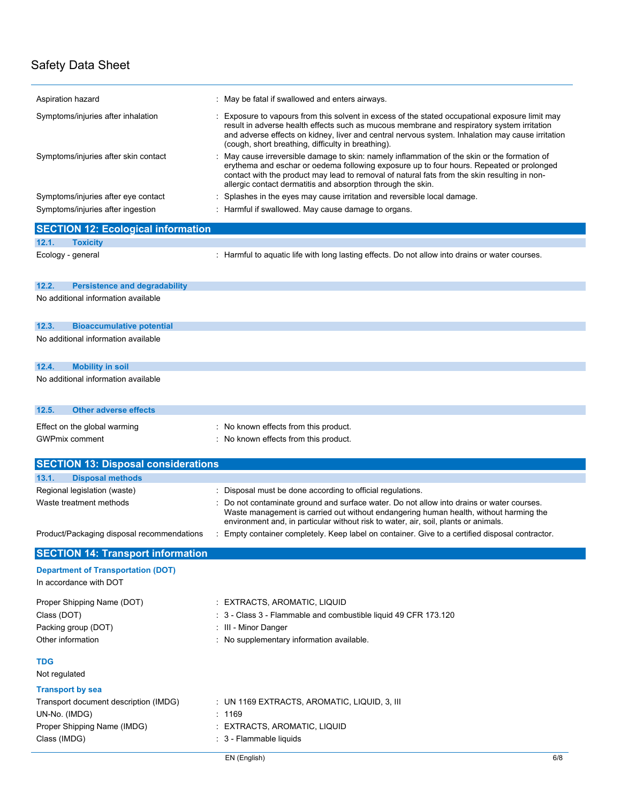| Aspiration hazard                                                                | : May be fatal if swallowed and enters airways.                                                                                                                                                                                                                                                                                                        |  |
|----------------------------------------------------------------------------------|--------------------------------------------------------------------------------------------------------------------------------------------------------------------------------------------------------------------------------------------------------------------------------------------------------------------------------------------------------|--|
| Symptoms/injuries after inhalation                                               | Exposure to vapours from this solvent in excess of the stated occupational exposure limit may<br>result in adverse health effects such as mucous membrane and respiratory system irritation<br>and adverse effects on kidney, liver and central nervous system. Inhalation may cause irritation<br>(cough, short breathing, difficulty in breathing).  |  |
| Symptoms/injuries after skin contact                                             | May cause irreversible damage to skin: namely inflammation of the skin or the formation of<br>erythema and eschar or oedema following exposure up to four hours. Repeated or prolonged<br>contact with the product may lead to removal of natural fats from the skin resulting in non-<br>allergic contact dermatitis and absorption through the skin. |  |
| Symptoms/injuries after eye contact                                              | Splashes in the eyes may cause irritation and reversible local damage.                                                                                                                                                                                                                                                                                 |  |
| Symptoms/injuries after ingestion                                                | : Harmful if swallowed. May cause damage to organs.                                                                                                                                                                                                                                                                                                    |  |
| <b>SECTION 12: Ecological information</b>                                        |                                                                                                                                                                                                                                                                                                                                                        |  |
| 12.1.<br><b>Toxicity</b>                                                         |                                                                                                                                                                                                                                                                                                                                                        |  |
| Ecology - general                                                                | : Harmful to aquatic life with long lasting effects. Do not allow into drains or water courses.                                                                                                                                                                                                                                                        |  |
| 12.2.<br><b>Persistence and degradability</b>                                    |                                                                                                                                                                                                                                                                                                                                                        |  |
| No additional information available                                              |                                                                                                                                                                                                                                                                                                                                                        |  |
| 12.3.<br><b>Bioaccumulative potential</b><br>No additional information available |                                                                                                                                                                                                                                                                                                                                                        |  |
| 12.4.<br><b>Mobility in soil</b>                                                 |                                                                                                                                                                                                                                                                                                                                                        |  |
| No additional information available                                              |                                                                                                                                                                                                                                                                                                                                                        |  |
| 12.5.<br><b>Other adverse effects</b>                                            |                                                                                                                                                                                                                                                                                                                                                        |  |
| Effect on the global warming                                                     | : No known effects from this product.                                                                                                                                                                                                                                                                                                                  |  |
| <b>GWPmix comment</b>                                                            | : No known effects from this product.                                                                                                                                                                                                                                                                                                                  |  |
|                                                                                  |                                                                                                                                                                                                                                                                                                                                                        |  |
| <b>SECTION 13: Disposal considerations</b>                                       |                                                                                                                                                                                                                                                                                                                                                        |  |
| <b>Disposal methods</b><br>13.1.                                                 |                                                                                                                                                                                                                                                                                                                                                        |  |
| Regional legislation (waste)                                                     | : Disposal must be done according to official regulations.                                                                                                                                                                                                                                                                                             |  |
| Waste treatment methods                                                          | Do not contaminate ground and surface water. Do not allow into drains or water courses.<br>Waste management is carried out without endangering human health, without harming the<br>environment and, in particular without risk to water, air, soil, plants or animals.                                                                                |  |
| Product/Packaging disposal recommendations                                       | : Empty container completely. Keep label on container. Give to a certified disposal contractor.                                                                                                                                                                                                                                                        |  |
| <b>SECTION 14: Transport information</b>                                         |                                                                                                                                                                                                                                                                                                                                                        |  |
| <b>Department of Transportation (DOT)</b><br>In accordance with DOT              |                                                                                                                                                                                                                                                                                                                                                        |  |
| Proper Shipping Name (DOT)<br>Class (DOT)                                        | : EXTRACTS, AROMATIC, LIQUID<br>: 3 - Class 3 - Flammable and combustible liquid 49 CFR 173.120                                                                                                                                                                                                                                                        |  |
| Packing group (DOT)                                                              | : III - Minor Danger                                                                                                                                                                                                                                                                                                                                   |  |
| Other information                                                                | : No supplementary information available.                                                                                                                                                                                                                                                                                                              |  |
| TDG<br>Not regulated                                                             |                                                                                                                                                                                                                                                                                                                                                        |  |
| <b>Transport by sea</b>                                                          |                                                                                                                                                                                                                                                                                                                                                        |  |
| Transport document description (IMDG)                                            | : UN 1169 EXTRACTS, AROMATIC, LIQUID, 3, III                                                                                                                                                                                                                                                                                                           |  |
| UN-No. (IMDG)                                                                    | : 1169                                                                                                                                                                                                                                                                                                                                                 |  |
| Proper Shipping Name (IMDG)                                                      | : EXTRACTS, AROMATIC, LIQUID                                                                                                                                                                                                                                                                                                                           |  |
| Class (IMDG)                                                                     | : 3 - Flammable liquids                                                                                                                                                                                                                                                                                                                                |  |
|                                                                                  | EN (English)<br>6/8                                                                                                                                                                                                                                                                                                                                    |  |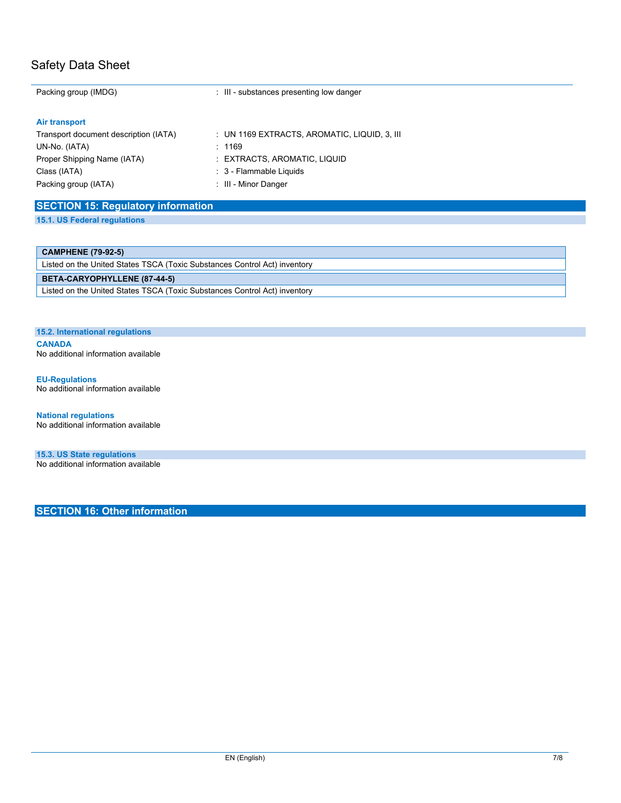| Packing group (IMDG)                                    | : III - substances presenting low danger     |
|---------------------------------------------------------|----------------------------------------------|
| Air transport                                           |                                              |
| Transport document description (IATA)                   | : UN 1169 EXTRACTS, AROMATIC, LIQUID, 3, III |
| UN-No. (IATA)                                           | : 1169                                       |
| Proper Shipping Name (IATA)                             | : EXTRACTS, AROMATIC, LIQUID                 |
| Class (IATA)                                            | : 3 - Flammable Liquids                      |
| Packing group (IATA)                                    | : III - Minor Danger                         |
| $       -$<br>.<br>and the state of the control of<br>. |                                              |

### **SECTION 15: Regulatory information**

**15.1. US Federal regulations**

#### **CAMPHENE (79-92-5)**

Listed on the United States TSCA (Toxic Substances Control Act) inventory **BETA-CARYOPHYLLENE (87-44-5)** Listed on the United States TSCA (Toxic Substances Control Act) inventory

#### **15.2. International regulations**

**CANADA** No additional information available

#### **EU-Regulations**

No additional information available

**National regulations** No additional information available

**15.3. US State regulations** No additional information available

**SECTION 16: Other information**